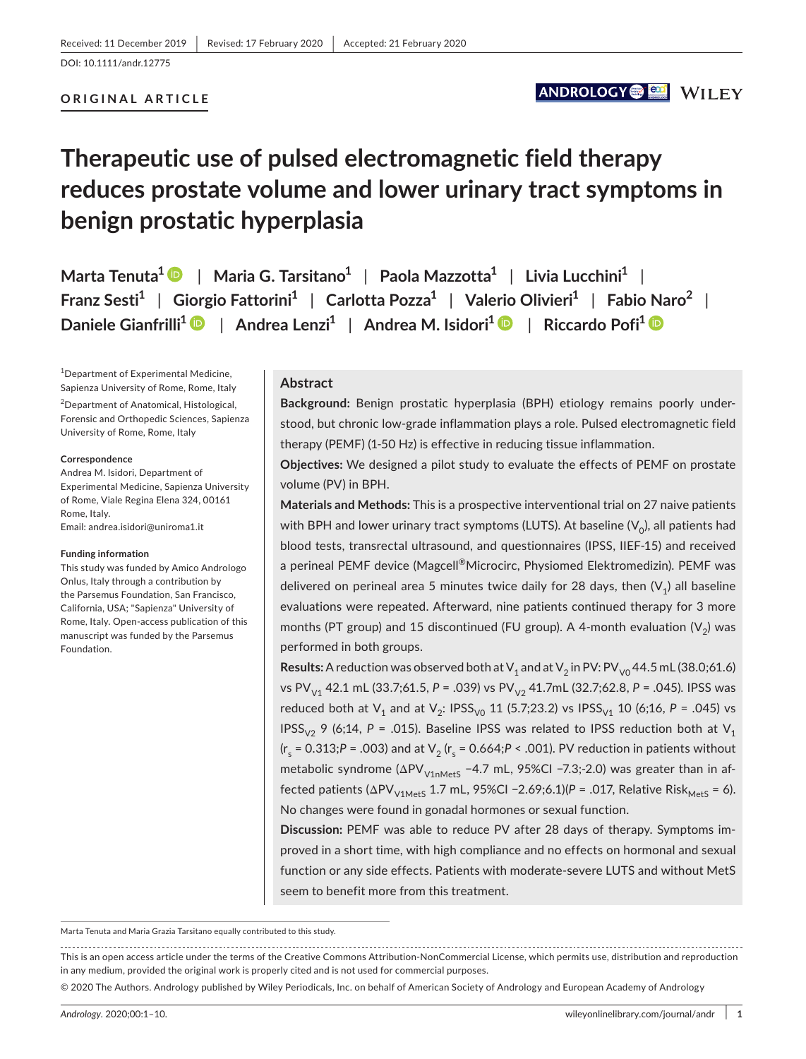#### **ORIGINAL ARTICLE**

## ANDROLOGY **OF AN**ILEY

# **Therapeutic use of pulsed electromagnetic field therapy reduces prostate volume and lower urinary tract symptoms in benign prostatic hyperplasia**

**Marta Tenuta1** | **Maria G. Tarsitano1** | **Paola Mazzotta1** | **Livia Lucchini1** | **Franz Sesti1** | **Giorgio Fattorini1** | **Carlotta Pozza1** | **Valerio Olivieri1** | **Fabio Naro<sup>2</sup>** | **Daniele Gianfrilli[1](https://orcid.org/0000-0002-2682-8266)** | **Andrea Lenzi1** | **Andrea M. Isidori1** | **Riccardo Pofi[1](https://orcid.org/0000-0001-7808-5735)**

1 Department of Experimental Medicine, Sapienza University of Rome, Rome, Italy

<sup>2</sup>Department of Anatomical, Histological, Forensic and Orthopedic Sciences, Sapienza University of Rome, Rome, Italy

#### **Correspondence**

Andrea M. Isidori, Department of Experimental Medicine, Sapienza University of Rome, Viale Regina Elena 324, 00161 Rome, Italy. Email: [andrea.isidori@uniroma1.it](mailto:andrea.isidori@uniroma1.it)

#### **Funding information**

This study was funded by Amico Andrologo Onlus, Italy through a contribution by the Parsemus Foundation, San Francisco, California, USA; "Sapienza" University of Rome, Italy. Open-access publication of this manuscript was funded by the Parsemus Foundation.

#### **Abstract**

**Background:** Benign prostatic hyperplasia (BPH) etiology remains poorly understood, but chronic low-grade inflammation plays a role. Pulsed electromagnetic field therapy (PEMF) (1-50 Hz) is effective in reducing tissue inflammation.

**Objectives:** We designed a pilot study to evaluate the effects of PEMF on prostate volume (PV) in BPH.

**Materials and Methods:** This is a prospective interventional trial on 27 naive patients with BPH and lower urinary tract symptoms (LUTS). At baseline  $(V_0)$ , all patients had blood tests, transrectal ultrasound, and questionnaires (IPSS, IIEF-15) and received a perineal PEMF device (Magcell<sup>®</sup>Microcirc, Physiomed Elektromedizin). PEMF was delivered on perineal area 5 minutes twice daily for 28 days, then  $(V_1)$  all baseline evaluations were repeated. Afterward, nine patients continued therapy for 3 more months (PT group) and 15 discontinued (FU group). A 4-month evaluation  $(V_2)$  was performed in both groups.

**Results:** A reduction was observed both at  $V_1$  and at  $V_2$  in PV: PV<sub>V0</sub> 44.5 mL (38.0;61.6) vs PV<sub>V1</sub> 42.1 mL (33.7;61.5, P = .039) vs PV<sub>V2</sub> 41.7mL (32.7;62.8, P = .045). IPSS was reduced both at  $V_1$  and at  $V_2$ : IPSS<sub>V0</sub> 11 (5.7;23.2) vs IPSS<sub>V1</sub> 10 (6;16, *P* = .045) vs IPSS<sub>V2</sub> 9 (6;14,  $P = .015$ ). Baseline IPSS was related to IPSS reduction both at V<sub>1</sub>  $(r_s = 0.313; P = .003)$  and at  $V_2$  ( $r_s = 0.664; P < .001$ ). PV reduction in patients without metabolic syndrome ( $\Delta PV_{V1nMets}$  -4.7 mL, 95%CI -7.3;-2.0) was greater than in affected patients ( $ΔPV<sub>V1Mets</sub> 1.7 mL$ , 95%Cl -2.69;6.1)(*P* = .017, Relative Risk<sub>MetS</sub> = 6). No changes were found in gonadal hormones or sexual function.

**Discussion:** PEMF was able to reduce PV after 28 days of therapy. Symptoms improved in a short time, with high compliance and no effects on hormonal and sexual function or any side effects. Patients with moderate-severe LUTS and without MetS seem to benefit more from this treatment.

Marta Tenuta and Maria Grazia Tarsitano equally contributed to this study.

This is an open access article under the terms of the [Creative Commons Attribution-NonCommercial](http://creativecommons.org/licenses/by-nc/4.0/) License, which permits use, distribution and reproduction in any medium, provided the original work is properly cited and is not used for commercial purposes.

© 2020 The Authors. Andrology published by Wiley Periodicals, Inc. on behalf of American Society of Andrology and European Academy of Andrology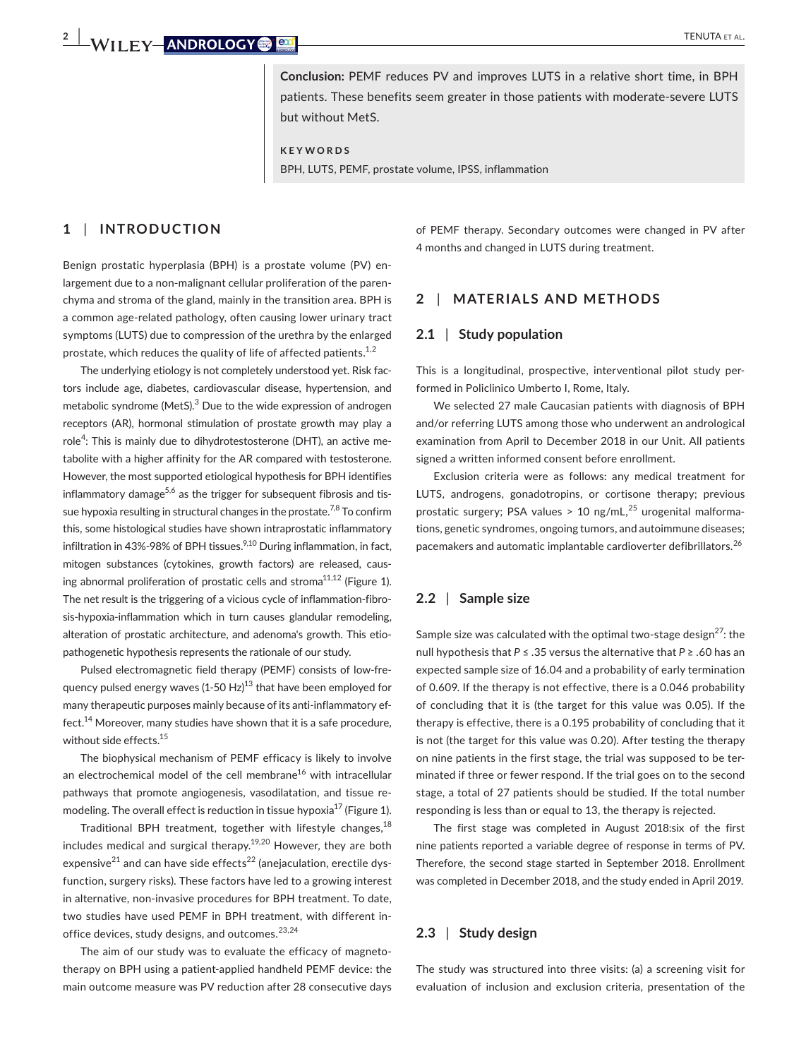**Conclusion:** PEMF reduces PV and improves LUTS in a relative short time, in BPH patients. These benefits seem greater in those patients with moderate-severe LUTS but without MetS.

**KEYWORDS**

BPH, LUTS, PEMF, prostate volume, IPSS, inflammation

## **1** | **INTRODUCTION**

Benign prostatic hyperplasia (BPH) is a prostate volume (PV) enlargement due to a non-malignant cellular proliferation of the parenchyma and stroma of the gland, mainly in the transition area. BPH is a common age-related pathology, often causing lower urinary tract symptoms (LUTS) due to compression of the urethra by the enlarged prostate, which reduces the quality of life of affected patients.<sup>1,2</sup>

The underlying etiology is not completely understood yet. Risk factors include age, diabetes, cardiovascular disease, hypertension, and metabolic syndrome (MetS).<sup>3</sup> Due to the wide expression of androgen receptors (AR), hormonal stimulation of prostate growth may play a role<sup>4</sup>: This is mainly due to dihydrotestosterone (DHT), an active metabolite with a higher affinity for the AR compared with testosterone. However, the most supported etiological hypothesis for BPH identifies inflammatory damage<sup>5,6</sup> as the trigger for subsequent fibrosis and tissue hypoxia resulting in structural changes in the prostate. $^{7,8}$  To confirm this, some histological studies have shown intraprostatic inflammatory infiltration in 43%-98% of BPH tissues. $9,10$  During inflammation, in fact, mitogen substances (cytokines, growth factors) are released, causing abnormal proliferation of prostatic cells and stroma<sup>11,12</sup> (Figure 1). The net result is the triggering of a vicious cycle of inflammation-fibrosis-hypoxia-inflammation which in turn causes glandular remodeling, alteration of prostatic architecture, and adenoma's growth. This etiopathogenetic hypothesis represents the rationale of our study.

Pulsed electromagnetic field therapy (PEMF) consists of low-frequency pulsed energy waves (1-50 Hz)<sup>13</sup> that have been employed for many therapeutic purposes mainly because of its anti-inflammatory effect.<sup>14</sup> Moreover, many studies have shown that it is a safe procedure, without side effects.<sup>15</sup>

The biophysical mechanism of PEMF efficacy is likely to involve an electrochemical model of the cell membrane<sup>16</sup> with intracellular pathways that promote angiogenesis, vasodilatation, and tissue remodeling. The overall effect is reduction in tissue hypoxia<sup>17</sup> (Figure 1).

Traditional BPH treatment, together with lifestyle changes, $18$ includes medical and surgical therapy.<sup>19,20</sup> However, they are both expensive<sup>21</sup> and can have side effects<sup>22</sup> (anejaculation, erectile dysfunction, surgery risks). These factors have led to a growing interest in alternative, non-invasive procedures for BPH treatment. To date, two studies have used PEMF in BPH treatment, with different inoffice devices, study designs, and outcomes.<sup>23,24</sup>

The aim of our study was to evaluate the efficacy of magnetotherapy on BPH using a patient-applied handheld PEMF device: the main outcome measure was PV reduction after 28 consecutive days of PEMF therapy. Secondary outcomes were changed in PV after 4 months and changed in LUTS during treatment.

## **2** | **MATERIALS AND METHODS**

#### **2.1** | **Study population**

This is a longitudinal, prospective, interventional pilot study performed in Policlinico Umberto I, Rome, Italy.

We selected 27 male Caucasian patients with diagnosis of BPH and/or referring LUTS among those who underwent an andrological examination from April to December 2018 in our Unit. All patients signed a written informed consent before enrollment.

Exclusion criteria were as follows: any medical treatment for LUTS, androgens, gonadotropins, or cortisone therapy; previous prostatic surgery; PSA values > 10 ng/mL, $^{25}$  urogenital malformations, genetic syndromes, ongoing tumors, and autoimmune diseases; pacemakers and automatic implantable cardioverter defibrillators.<sup>26</sup>

## **2.2** | **Sample size**

Sample size was calculated with the optimal two-stage design<sup>27</sup>: the null hypothesis that *P* ≤ .35 versus the alternative that *P* ≥ .60 has an expected sample size of 16.04 and a probability of early termination of 0.609. If the therapy is not effective, there is a 0.046 probability of concluding that it is (the target for this value was 0.05). If the therapy is effective, there is a 0.195 probability of concluding that it is not (the target for this value was 0.20). After testing the therapy on nine patients in the first stage, the trial was supposed to be terminated if three or fewer respond. If the trial goes on to the second stage, a total of 27 patients should be studied. If the total number responding is less than or equal to 13, the therapy is rejected.

The first stage was completed in August 2018:six of the first nine patients reported a variable degree of response in terms of PV. Therefore, the second stage started in September 2018. Enrollment was completed in December 2018, and the study ended in April 2019.

### **2.3** | **Study design**

The study was structured into three visits: (a) a screening visit for evaluation of inclusion and exclusion criteria, presentation of the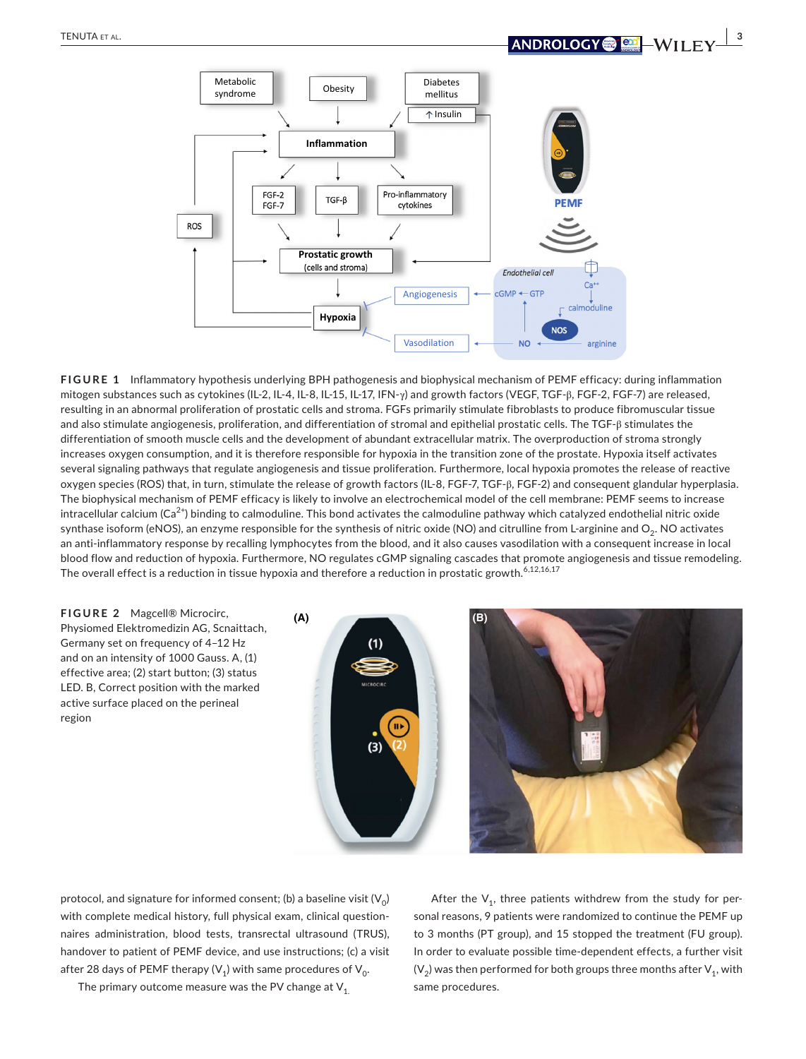

**FIGURE 1** Inflammatory hypothesis underlying BPH pathogenesis and biophysical mechanism of PEMF efficacy: during inflammation mitogen substances such as cytokines (IL-2, IL-4, IL-8, IL-15, IL-17, IFN-γ) and growth factors (VEGF, TGF-β, FGF-2, FGF-7) are released, resulting in an abnormal proliferation of prostatic cells and stroma. FGFs primarily stimulate fibroblasts to produce fibromuscular tissue and also stimulate angiogenesis, proliferation, and differentiation of stromal and epithelial prostatic cells. The TGF-β stimulates the differentiation of smooth muscle cells and the development of abundant extracellular matrix. The overproduction of stroma strongly increases oxygen consumption, and it is therefore responsible for hypoxia in the transition zone of the prostate. Hypoxia itself activates several signaling pathways that regulate angiogenesis and tissue proliferation. Furthermore, local hypoxia promotes the release of reactive oxygen species (ROS) that, in turn, stimulate the release of growth factors (IL-8, FGF-7, TGF-β, FGF-2) and consequent glandular hyperplasia. The biophysical mechanism of PEMF efficacy is likely to involve an electrochemical model of the cell membrane: PEMF seems to increase intracellular calcium (Ca<sup>2+</sup>) binding to calmoduline. This bond activates the calmoduline pathway which catalyzed endothelial nitric oxide synthase isoform (eNOS), an enzyme responsible for the synthesis of nitric oxide (NO) and citrulline from L-arginine and  $O_2$ . NO activates an anti-inflammatory response by recalling lymphocytes from the blood, and it also causes vasodilation with a consequent increase in local blood flow and reduction of hypoxia. Furthermore, NO regulates cGMP signaling cascades that promote angiogenesis and tissue remodeling. The overall effect is a reduction in tissue hypoxia and therefore a reduction in prostatic growth.<sup>6,12,16,17</sup>



protocol, and signature for informed consent; (b) a baseline visit  $(V_0)$ with complete medical history, full physical exam, clinical questionnaires administration, blood tests, transrectal ultrasound (TRUS), handover to patient of PEMF device, and use instructions; (c) a visit after 28 days of PEMF therapy ( $V_1$ ) with same procedures of  $V_0$ .

The primary outcome measure was the PV change at  $V_1$ .

After the  $V_1$ , three patients withdrew from the study for personal reasons, 9 patients were randomized to continue the PEMF up to 3 months (PT group), and 15 stopped the treatment (FU group). In order to evaluate possible time-dependent effects, a further visit  $(V_2)$  was then performed for both groups three months after  $V_1$ , with same procedures.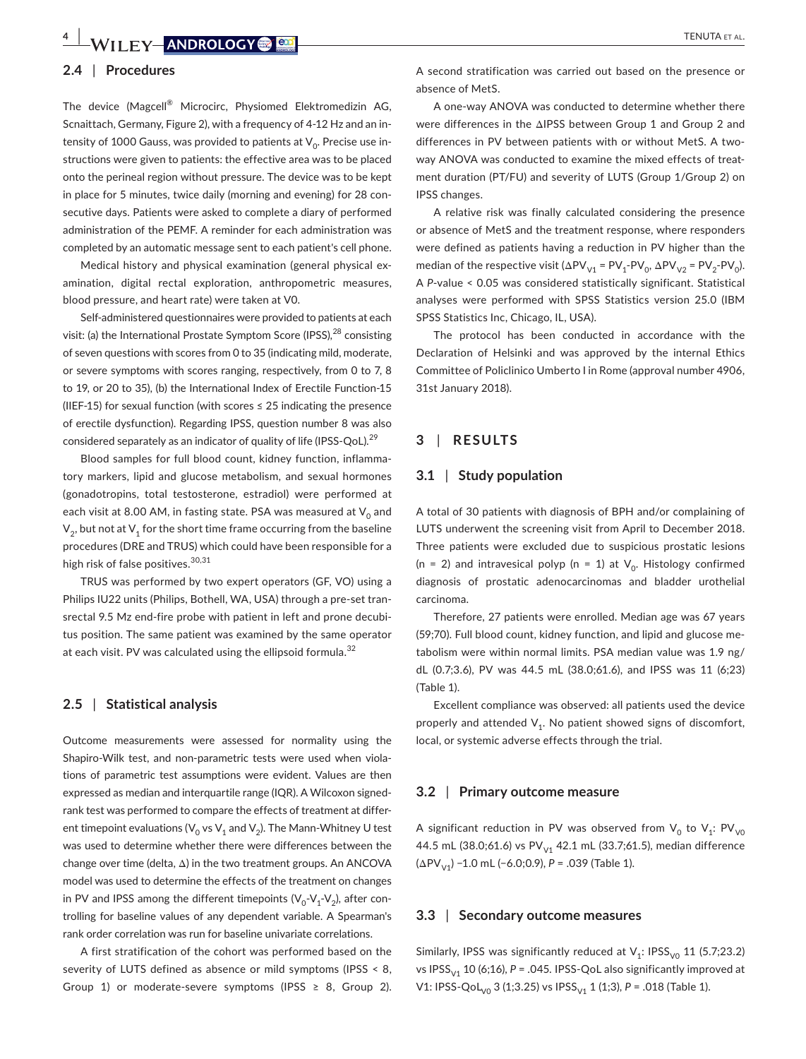#### **2.4** | **Procedures**

The device (Magcell® Microcirc, Physiomed Elektromedizin AG, Scnaittach, Germany, Figure 2), with a frequency of 4-12 Hz and an intensity of 1000 Gauss, was provided to patients at  $V_0$ . Precise use instructions were given to patients: the effective area was to be placed onto the perineal region without pressure. The device was to be kept in place for 5 minutes, twice daily (morning and evening) for 28 consecutive days. Patients were asked to complete a diary of performed administration of the PEMF. A reminder for each administration was completed by an automatic message sent to each patient's cell phone.

Medical history and physical examination (general physical examination, digital rectal exploration, anthropometric measures, blood pressure, and heart rate) were taken at V0.

Self-administered questionnaires were provided to patients at each visit: (a) the International Prostate Symptom Score (IPSS), $^{28}$  consisting of seven questions with scores from 0 to 35 (indicating mild, moderate, or severe symptoms with scores ranging, respectively, from 0 to 7, 8 to 19, or 20 to 35), (b) the International Index of Erectile Function-15 (IIEF-15) for sexual function (with scores  $\leq$  25 indicating the presence of erectile dysfunction). Regarding IPSS, question number 8 was also considered separately as an indicator of quality of life (IPSS-QoL).<sup>29</sup>

Blood samples for full blood count, kidney function, inflammatory markers, lipid and glucose metabolism, and sexual hormones (gonadotropins, total testosterone, estradiol) were performed at each visit at 8.00 AM, in fasting state. PSA was measured at  $V_0$  and  $V_2$ , but not at  $V_1$  for the short time frame occurring from the baseline procedures (DRE and TRUS) which could have been responsible for a high risk of false positives. $30,31$ 

TRUS was performed by two expert operators (GF, VO) using a Philips IU22 units (Philips, Bothell, WA, USA) through a pre-set transrectal 9.5 Mz end-fire probe with patient in left and prone decubitus position. The same patient was examined by the same operator at each visit. PV was calculated using the ellipsoid formula.<sup>32</sup>

#### **2.5** | **Statistical analysis**

Outcome measurements were assessed for normality using the Shapiro-Wilk test, and non-parametric tests were used when violations of parametric test assumptions were evident. Values are then expressed as median and interquartile range (IQR). A Wilcoxon signedrank test was performed to compare the effects of treatment at different timepoint evaluations ( $V_0$  vs  $V_1$  and  $V_2$ ). The Mann-Whitney U test was used to determine whether there were differences between the change over time (delta, Δ) in the two treatment groups. An ANCOVA model was used to determine the effects of the treatment on changes in PV and IPSS among the different timepoints  $(V_0-V_1-V_2)$ , after controlling for baseline values of any dependent variable. A Spearman's rank order correlation was run for baseline univariate correlations.

A first stratification of the cohort was performed based on the severity of LUTS defined as absence or mild symptoms (IPSS < 8, Group 1) or moderate-severe symptoms (IPSS  $\geq$  8, Group 2).

A second stratification was carried out based on the presence or absence of MetS.

A one-way ANOVA was conducted to determine whether there were differences in the ΔIPSS between Group 1 and Group 2 and differences in PV between patients with or without MetS. A twoway ANOVA was conducted to examine the mixed effects of treatment duration (PT/FU) and severity of LUTS (Group 1/Group 2) on IPSS changes.

A relative risk was finally calculated considering the presence or absence of MetS and the treatment response, where responders were defined as patients having a reduction in PV higher than the median of the respective visit ( $\Delta PV_{V1} = PV_1 - PV_0$ ,  $\Delta PV_{V2} = PV_2 - PV_0$ ). A *P*-value < 0.05 was considered statistically significant. Statistical analyses were performed with SPSS Statistics version 25.0 (IBM SPSS Statistics Inc, Chicago, IL, USA).

The protocol has been conducted in accordance with the Declaration of Helsinki and was approved by the internal Ethics Committee of Policlinico Umberto I in Rome (approval number 4906, 31st January 2018).

### **3** | **RESULTS**

#### **3.1** | **Study population**

A total of 30 patients with diagnosis of BPH and/or complaining of LUTS underwent the screening visit from April to December 2018. Three patients were excluded due to suspicious prostatic lesions (n = 2) and intravesical polyp (n = 1) at  $V_0$ . Histology confirmed diagnosis of prostatic adenocarcinomas and bladder urothelial carcinoma.

Therefore, 27 patients were enrolled. Median age was 67 years (59;70). Full blood count, kidney function, and lipid and glucose metabolism were within normal limits. PSA median value was 1.9 ng/ dL (0.7;3.6), PV was 44.5 mL (38.0;61.6), and IPSS was 11 (6;23) (Table 1).

Excellent compliance was observed: all patients used the device properly and attended  $V_1$ . No patient showed signs of discomfort, local, or systemic adverse effects through the trial.

#### **3.2** | **Primary outcome measure**

A significant reduction in PV was observed from  $V_0$  to  $V_1$ : PV<sub>V0</sub> 44.5 mL (38.0;61.6) vs PV<sub>V1</sub> 42.1 mL (33.7;61.5), median difference (ΔPV<sub>V1</sub>) −1.0 mL (−6.0;0.9), *P* = .039 (Table 1).

#### **3.3** | **Secondary outcome measures**

Similarly, IPSS was significantly reduced at  $V_1$ : IPSS<sub>V0</sub> 11 (5.7;23.2) vs IPSS<sub>V1</sub> 10 (6;16),  $P = .045$ . IPSS-QoL also significantly improved at V1: IPSS-QoL<sub>V0</sub> 3 (1;3.25) vs IPSS<sub>V1</sub> 1 (1;3), *P* = .018 (Table 1).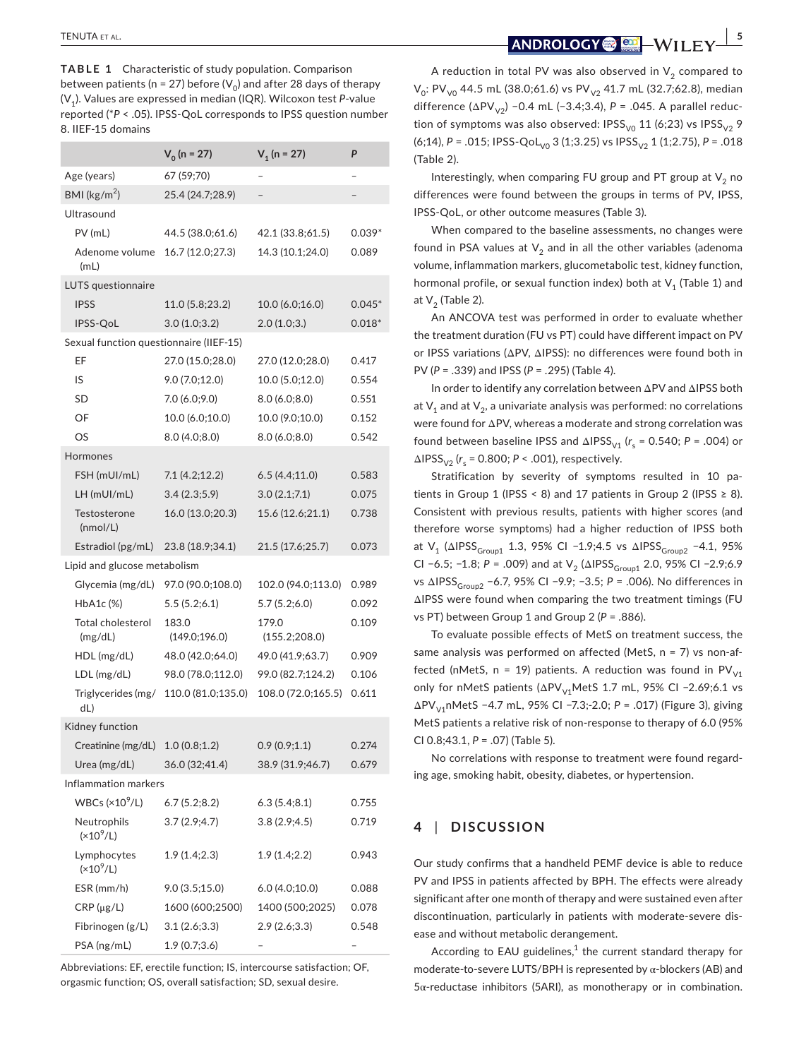**TABLE 1** Characteristic of study population. Comparison between patients (n = 27) before  $(V_0)$  and after 28 days of therapy (V1). Values are expressed in median (IQR). Wilcoxon test *P*-value reported (\**P* < .05). IPSS-QoL corresponds to IPSS question number 8. IIEF-15 domains

|                                         | $V_0$ (n = 27)         | $V_1$ (n = 27)         | P        |
|-----------------------------------------|------------------------|------------------------|----------|
| Age (years)                             | 67 (59;70)             |                        |          |
| BMI ( $\text{kg/m}^2$ )                 | 25.4 (24.7;28.9)       | -                      |          |
| Ultrasound                              |                        |                        |          |
| $PV$ (mL)                               | 44.5 (38.0;61.6)       | 42.1 (33.8;61.5)       | $0.039*$ |
| Adenome volume<br>(mL)                  | 16.7 (12.0;27.3)       | 14.3 (10.1;24.0)       | 0.089    |
| LUTS questionnaire                      |                        |                        |          |
| <b>IPSS</b>                             | 11.0 (5.8;23.2)        | 10.0 (6.0;16.0)        | $0.045*$ |
| IPSS-QoL                                | 3.0(1.0;3.2)           | 2.0(1.0;3.)            | $0.018*$ |
| Sexual function questionnaire (IIEF-15) |                        |                        |          |
| EF                                      | 27.0 (15.0;28.0)       | 27.0 (12.0;28.0)       | 0.417    |
| IS                                      | 9.0(7.0;12.0)          | 10.0(5.0;12.0)         | 0.554    |
| SD                                      | 7.0 (6.0;9.0)          | 8.0(6.0;8.0)           | 0.551    |
| OF                                      | 10.0 (6.0;10.0)        | 10.0 (9.0;10.0)        | 0.152    |
| OS                                      | 8.0(4.0;8.0)           | 8.0(6.0;8.0)           | 0.542    |
| Hormones                                |                        |                        |          |
| FSH (mUI/mL)                            | 7.1(4.2;12.2)          | 6.5(4.4;11.0)          | 0.583    |
| $LH$ (mUI/mL)                           | 3.4(2.3;5.9)           | 3.0(2.1;7.1)           | 0.075    |
| Testosterone<br>(mmol/L)                | 16.0 (13.0;20.3)       | 15.6 (12.6;21.1)       | 0.738    |
| Estradiol (pg/mL)                       | 23.8 (18.9;34.1)       | 21.5 (17.6;25.7)       | 0.073    |
| Lipid and glucose metabolism            |                        |                        |          |
| Glycemia (mg/dL)                        | 97.0 (90.0;108.0)      | 102.0 (94.0;113.0)     | 0.989    |
| HbA1c (%)                               | 5.5(5.2;6.1)           | 5.7(5.2; 6.0)          | 0.092    |
| Total cholesterol<br>(mg/dL)            | 183.0<br>(149.0;196.0) | 179.0<br>(155.2;208.0) | 0.109    |
| HDL (mg/dL)                             | 48.0 (42.0;64.0)       | 49.0 (41.9;63.7)       | 0.909    |
| LDL (mg/dL)                             | 98.0 (78.0;112.0)      | 99.0 (82.7;124.2)      | 0.106    |
| Triglycerides (mg/<br>dL)               | 110.0 (81.0;135.0)     | 108.0 (72.0;165.5)     | 0.611    |
| Kidney function                         |                        |                        |          |
| Creatinine (mg/dL)                      | 1.0(0.8;1.2)           | 0.9(0.9:1.1)           | 0.274    |
| Urea (mg/dL)                            | 36.0 (32;41.4)         | 38.9 (31.9:46.7)       | 0.679    |
| Inflammation markers                    |                        |                        |          |
| WBCs ( $\times$ 10 <sup>9</sup> /L)     | 6.7(5.2;8.2)           | 6.3(5.4;8.1)           | 0.755    |
| Neutrophils<br>$(x10^9/L)$              | 3.7(2.9; 4.7)          | 3.8(2.9;4.5)           | 0.719    |
| Lymphocytes<br>$(x10^9/L)$              | 1.9(1.4;2.3)           | 1.9 (1.4;2.2)          | 0.943    |
| ESR (mm/h)                              | 9.0(3.5;15.0)          | 6.0(4.0;10.0)          | 0.088    |
| $CRP(\mu g/L)$                          | 1600 (600;2500)        | 1400 (500;2025)        | 0.078    |
| Fibrinogen (g/L)                        | 3.1(2.6;3.3)           | 2.9(2.6;3.3)           | 0.548    |
| PSA (ng/mL)                             | 1.9 (0.7;3.6)          |                        |          |

Abbreviations: EF, erectile function; IS, intercourse satisfaction; OF, orgasmic function; OS, overall satisfaction; SD, sexual desire.

A reduction in total PV was also observed in  $V_2$  compared to  $V_0$ : PV<sub>V0</sub> 44.5 mL (38.0;61.6) vs PV<sub>V2</sub> 41.7 mL (32.7;62.8), median difference (ΔPV<sub>V2</sub>) −0.4 mL (−3.4;3.4),  $P = .045$ . A parallel reduction of symptoms was also observed: IPSS<sub>V0</sub> 11 (6;23) vs IPSS<sub>V2</sub> 9 (6;14),  $P = .015$ ; IPSS-QoL<sub>V0</sub> 3 (1;3.25) vs IPSS<sub>V2</sub> 1 (1;2.75),  $P = .018$ (Table 2).

Interestingly, when comparing FU group and PT group at  $V_2$  no differences were found between the groups in terms of PV, IPSS, IPSS-QoL, or other outcome measures (Table 3).

When compared to the baseline assessments, no changes were found in PSA values at  $V<sub>2</sub>$  and in all the other variables (adenoma volume, inflammation markers, glucometabolic test, kidney function, hormonal profile, or sexual function index) both at  $V_1$  (Table 1) and at  $V<sub>2</sub>$  (Table 2).

An ANCOVA test was performed in order to evaluate whether the treatment duration (FU vs PT) could have different impact on PV or IPSS variations (ΔPV, ΔIPSS): no differences were found both in PV (*P* = .339) and IPSS (*P* = .295) (Table 4).

In order to identify any correlation between ΔPV and ΔIPSS both at  $V_1$  and at  $V_2$ , a univariate analysis was performed: no correlations were found for ΔPV, whereas a moderate and strong correlation was found between baseline IPSS and  $\Delta$ IPSS<sub>V1</sub> ( $r_s$  = 0.540; P = .004) or  $ΔIPSS<sub>V2</sub>$  ( $r<sub>s</sub>$  = 0.800; *P* < .001), respectively.

Stratification by severity of symptoms resulted in 10 patients in Group 1 (IPSS < 8) and 17 patients in Group 2 (IPSS  $\geq$  8). Consistent with previous results, patients with higher scores (and therefore worse symptoms) had a higher reduction of IPSS both at V<sub>1</sub> (ΔIPSS<sub>Group1</sub> 1.3, 95% CI -1.9;4.5 vs ΔIPSS<sub>Group2</sub> -4.1, 95% CI −6.5; −1.8; *P* = .009) and at V<sub>2</sub> (ΔIPSS<sub>Group1</sub> 2.0, 95% CI −2.9;6.9 vs ΔIPSS<sub>Group2</sub> −6.7, 95% CI −9.9; −3.5; *P* = .006). No differences in ΔIPSS were found when comparing the two treatment timings (FU vs PT) between Group 1 and Group 2 (*P* = .886).

To evaluate possible effects of MetS on treatment success, the same analysis was performed on affected (MetS, n = 7) vs non-affected (nMetS,  $n = 19$ ) patients. A reduction was found in PV<sub>V1</sub> only for nMetS patients (ΔPV<sub>V1</sub>MetS 1.7 mL, 95% CI -2.69;6.1 vs ΔPV<sub>V1</sub>nMetS −4.7 mL, 95% CI −7.3;-2.0; *P* = .017) (Figure 3), giving MetS patients a relative risk of non-response to therapy of 6.0 (95% CI 0.8;43.1, *P* = .07) (Table 5).

No correlations with response to treatment were found regarding age, smoking habit, obesity, diabetes, or hypertension.

## **4** | **DISCUSSION**

Our study confirms that a handheld PEMF device is able to reduce PV and IPSS in patients affected by BPH. The effects were already significant after one month of therapy and were sustained even after discontinuation, particularly in patients with moderate-severe disease and without metabolic derangement.

According to EAU guidelines, $<sup>1</sup>$  the current standard therapy for</sup> moderate-to-severe LUTS/BPH is represented by α-blockers (AB) and 5α-reductase inhibitors (5ARI), as monotherapy or in combination.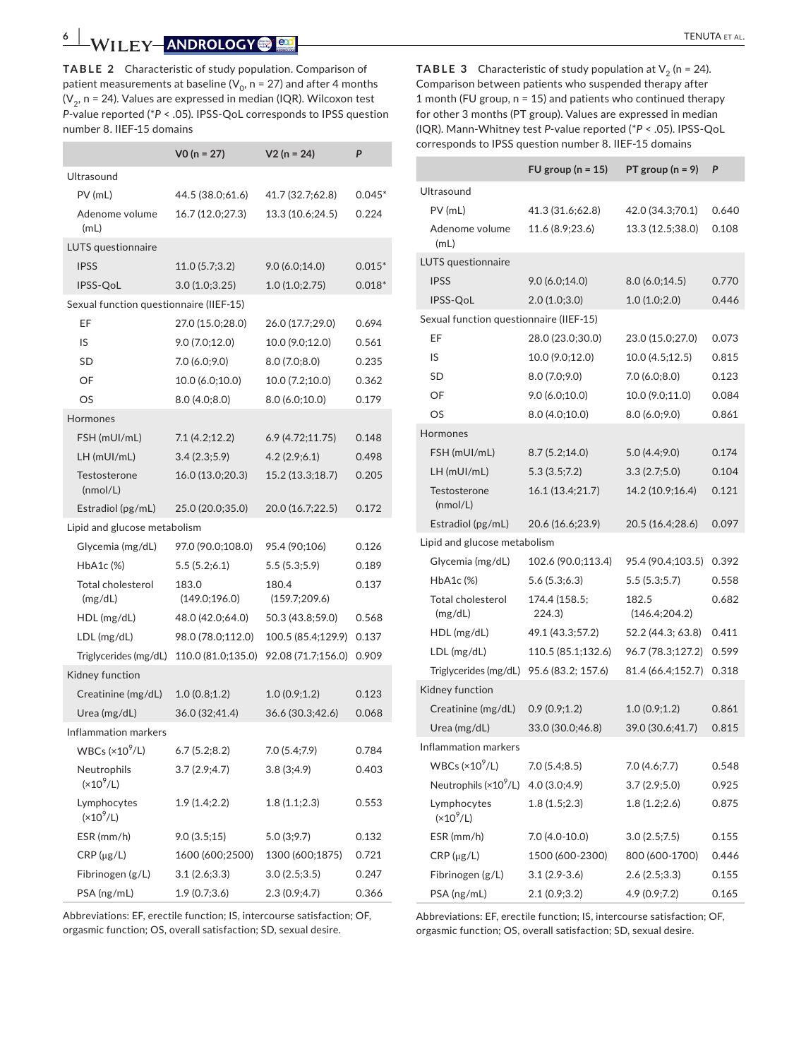**TABLE 2** Characteristic of study population. Comparison of patient measurements at baseline ( $V_0$ , n = 27) and after 4 months  $(V_2, n = 24)$ . Values are expressed in median (IQR). Wilcoxon test *P*-value reported (\**P* < .05). IPSS-QoL corresponds to IPSS question number 8. IIEF-15 domains

|                                         | $VO (n = 27)$           | $V2(n = 24)$            | P        |
|-----------------------------------------|-------------------------|-------------------------|----------|
| Ultrasound                              |                         |                         |          |
| $PV$ (mL)                               | 44.5 (38.0;61.6)        | 41.7 (32.7;62.8)        | $0.045*$ |
| Adenome volume<br>(mL)                  | 16.7 (12.0;27.3)        | 13.3 (10.6;24.5)        | 0.224    |
| LUTS questionnaire                      |                         |                         |          |
| <b>IPSS</b>                             | 11.0(5.7;3.2)           | 9.0(6.0;14.0)           | $0.015*$ |
| IPSS-QoL                                | 3.0 (1.0;3.25)          | 1.0(1.0;2.75)           | $0.018*$ |
| Sexual function questionnaire (IIEF-15) |                         |                         |          |
| EF                                      | 27.0 (15.0;28.0)        | 26.0 (17.7;29.0)        | 0.694    |
| IS                                      | 9.0 (7.0;12.0)          | 10.0 (9.0;12.0)         | 0.561    |
| SD                                      | 7.0(6.0; 9.0)           | 8.0(7.0;8.0)            | 0.235    |
| OF                                      | 10.0 (6.0;10.0)         | 10.0 (7.2;10.0)         | 0.362    |
| OS                                      | 8.0(4.0;8.0)            | 8.0(6.0;10.0)           | 0.179    |
| Hormones                                |                         |                         |          |
| FSH (mUI/mL)                            | 7.1 (4.2;12.2)          | 6.9(4.72;11.75)         | 0.148    |
| $LH$ (mUI/mL)                           | 3.4(2.3;5.9)            | 4.2(2.9;6.1)            | 0.498    |
| Testosterone<br>(mmol/L)                | 16.0 (13.0;20.3)        | 15.2 (13.3;18.7)        | 0.205    |
| Estradiol (pg/mL)                       | 25.0 (20.0;35.0)        | 20.0 (16.7;22.5)        | 0.172    |
| Lipid and glucose metabolism            |                         |                         |          |
| Glycemia (mg/dL)                        | 97.0 (90.0;108.0)       | 95.4 (90;106)           | 0.126    |
| HbA1c (%)                               | 5.5(5.2; 6.1)           | 5.5(5.3;5.9)            | 0.189    |
| Total cholesterol<br>(mg/dL)            | 183.0<br>(149.0; 196.0) | 180.4<br>(159.7; 209.6) | 0.137    |
| $HDL$ (mg/dL)                           | 48.0 (42.0;64.0)        | 50.3 (43.8;59.0)        | 0.568    |
| LDL (mg/dL)                             | 98.0 (78.0;112.0)       | 100.5 (85.4;129.9)      | 0.137    |
| Triglycerides (mg/dL)                   | 110.0 (81.0;135.0)      | 92.08 (71.7;156.0)      | 0.909    |
| Kidney function                         |                         |                         |          |
| Creatinine (mg/dL)                      | 1.0(0.8;1.2)            | 1.0(0.9;1.2)            | 0.123    |
| Urea (mg/dL)                            | 36.0 (32;41.4)          | 36.6 (30.3;42.6)        | 0.068    |
| Inflammation markers                    |                         |                         |          |
| $WBCs$ (×10 <sup>9</sup> /L)            | 6.7(5.2;8.2)            | 7.0 (5.4;7.9)           | 0.784    |
| Neutrophils<br>$(x10^9/L)$              | 3.7(2.9; 4.7)           | 3.8(3;4.9)              | 0.403    |
| Lymphocytes<br>$(x10^9/L)$              | 1.9(1.4;2.2)            | 1.8(1.1;2.3)            | 0.553    |
| ESR (mm/h)                              | 9.0(3.5;15)             | 5.0 (3;9.7)             | 0.132    |
| $CRP(\mu g/L)$                          | 1600 (600;2500)         | 1300 (600;1875)         | 0.721    |
| Fibrinogen (g/L)                        | 3.1(2.6;3.3)            | 3.0(2.5;3.5)            | 0.247    |
| PSA (ng/mL)                             | 1.9(0.7;3.6)            | 2.3(0.9; 4.7)           | 0.366    |

**TABLE 3** Characteristic of study population at  $V_2$  (n = 24). Comparison between patients who suspended therapy after 1 month (FU group, n = 15) and patients who continued therapy for other 3 months (PT group). Values are expressed in median (IQR). Mann-Whitney test *P*-value reported (\**P* < .05). IPSS-QoL corresponds to IPSS question number 8. IIEF-15 domains

|                                         | FU group ( $n = 15$ )   | PT group ( $n = 9$ )   | P     |
|-----------------------------------------|-------------------------|------------------------|-------|
| Ultrasound                              |                         |                        |       |
| $PV$ (mL)                               | 41.3 (31.6;62.8)        | 42.0 (34.3;70.1)       | 0.640 |
| Adenome volume<br>(mL)                  | 11.6 (8.9;23.6)         | 13.3 (12.5;38.0)       | 0.108 |
| LUTS questionnaire                      |                         |                        |       |
| <b>IPSS</b>                             | 9.0(6.0;14.0)           | 8.0(6.0;14.5)          | 0.770 |
| IPSS-QoL                                | 2.0(1.0;3.0)            | 1.0(1.0;2.0)           | 0.446 |
| Sexual function questionnaire (IIEF-15) |                         |                        |       |
| EF                                      | 28.0 (23.0;30.0)        | 23.0 (15.0;27.0)       | 0.073 |
| IS                                      | 10.0 (9.0;12.0)         | 10.0 (4.5;12.5)        | 0.815 |
| SD                                      | 8.0(7.0;9.0)            | 7.0 (6.0;8.0)          | 0.123 |
| OF                                      | 9.0(6.0;10.0)           | 10.0 (9.0;11.0)        | 0.084 |
| OS                                      | 8.0(4.0;10.0)           | 8.0 (6.0;9.0)          | 0.861 |
| Hormones                                |                         |                        |       |
| FSH (mUI/mL)                            | 8.7(5.2;14.0)           | 5.0(4.4;9.0)           | 0.174 |
| $LH$ (mUI/mL)                           | 5.3(3.5;7.2)            | 3.3(2.7;5.0)           | 0.104 |
| Testosterone<br>(mmol/L)                | 16.1 (13.4;21.7)        | 14.2 (10.9;16.4)       | 0.121 |
| Estradiol (pg/mL)                       | 20.6 (16.6;23.9)        | 20.5 (16.4;28.6)       | 0.097 |
| Lipid and glucose metabolism            |                         |                        |       |
| Glycemia (mg/dL)                        | 102.6 (90.0;113.4)      | 95.4 (90.4;103.5)      | 0.392 |
| HbA1c (%)                               | 5.6(5.3; 6.3)           | 5.5(5.3;5.7)           | 0.558 |
| Total cholesterol<br>(mg/dL)            | 174.4 (158.5;<br>224.3) | 182.5<br>(146.4;204.2) | 0.682 |
| $HDL$ (mg/dL)                           | 49.1 (43.3;57.2)        | 52.2 (44.3; 63.8)      | 0.411 |
| LDL (mg/dL)                             | 110.5 (85.1;132.6)      | 96.7 (78.3;127.2)      | 0.599 |
| Triglycerides (mg/dL)                   | 95.6 (83.2; 157.6)      | 81.4 (66.4;152.7)      | 0.318 |
| Kidney function                         |                         |                        |       |
| Creatinine (mg/dL)                      | 0.9(0.9;1.2)            | 1.0(0.9;1.2)           | 0.861 |
| Urea ( $mg/dL$ )                        | 33.0 (30.0;46.8)        | 39.0 (30.6;41.7)       | 0.815 |
| Inflammation markers                    |                         |                        |       |
| WBCs ( $\times 10^9$ /L)                | 7.0(5.4;8.5)            | 7.0(4.6;7.7)           | 0.548 |
| Neutrophils (×10 <sup>9</sup> /L)       | 4.0(3.0;4.9)            | 3.7(2.9;5.0)           | 0.925 |
| Lymphocytes<br>$(x10^9/L)$              | 1.8(1.5;2.3)            | 1.8(1.2;2.6)           | 0.875 |
| ESR (mm/h)                              | 7.0 (4.0-10.0)          | 3.0(2.5;7.5)           | 0.155 |
| $CRP(\mu g/L)$                          | 1500 (600-2300)         | 800 (600-1700)         | 0.446 |
| Fibrinogen (g/L)                        | $3.1(2.9-3.6)$          | 2.6(2.5;3.3)           | 0.155 |
| PSA (ng/mL)                             | 2.1(0.9;3.2)            | 4.9 (0.9;7.2)          | 0.165 |

Abbreviations: EF, erectile function; IS, intercourse satisfaction; OF, orgasmic function; OS, overall satisfaction; SD, sexual desire.

Abbreviations: EF, erectile function; IS, intercourse satisfaction; OF, orgasmic function; OS, overall satisfaction; SD, sexual desire.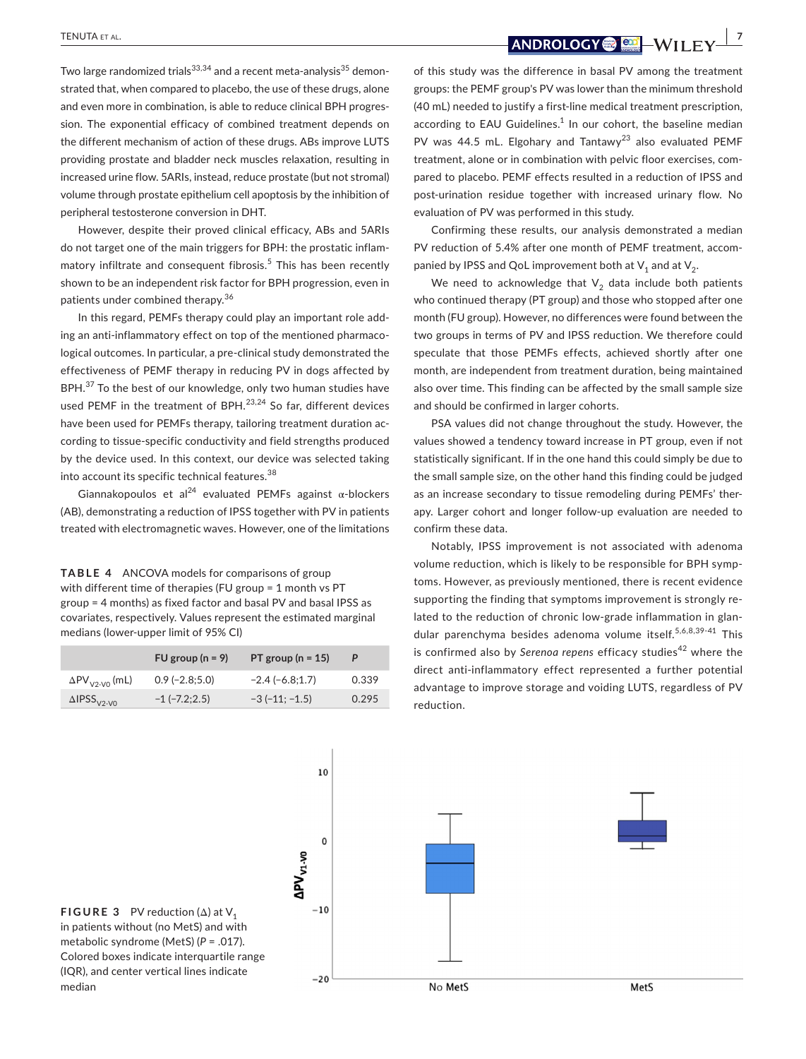median

 **<u>TENUTA ET AL.</u> <b>1999**  $\frac{1}{2}$  *1999*  $\frac{1}{2}$  *1999*  $\frac{1}{2}$  *1999*  $\frac{1}{2}$  *1999* **<b>**  $\frac{1}{2}$  *1999*  $\frac{1}{2}$  *1999*  $\frac{1}{2}$  *1999*  $\frac{1}{2}$  *1999* *1999* **<b> 1999** 

Two large randomized trials<sup>33,34</sup> and a recent meta-analysis<sup>35</sup> demonstrated that, when compared to placebo, the use of these drugs, alone and even more in combination, is able to reduce clinical BPH progression. The exponential efficacy of combined treatment depends on the different mechanism of action of these drugs. ABs improve LUTS providing prostate and bladder neck muscles relaxation, resulting in increased urine flow. 5ARIs, instead, reduce prostate (but not stromal) volume through prostate epithelium cell apoptosis by the inhibition of peripheral testosterone conversion in DHT.

However, despite their proved clinical efficacy, ABs and 5ARIs do not target one of the main triggers for BPH: the prostatic inflammatory infiltrate and consequent fibrosis.<sup>5</sup> This has been recently shown to be an independent risk factor for BPH progression, even in patients under combined therapy.<sup>36</sup>

In this regard, PEMFs therapy could play an important role adding an anti-inflammatory effect on top of the mentioned pharmacological outcomes. In particular, a pre-clinical study demonstrated the effectiveness of PEMF therapy in reducing PV in dogs affected by BPH.<sup>37</sup> To the best of our knowledge, only two human studies have used PEMF in the treatment of BPH. $^{23,24}$  So far, different devices have been used for PEMFs therapy, tailoring treatment duration according to tissue-specific conductivity and field strengths produced by the device used. In this context, our device was selected taking into account its specific technical features.<sup>38</sup>

Giannakopoulos et al<sup>24</sup> evaluated PEMFs against  $\alpha$ -blockers (AB), demonstrating a reduction of IPSS together with PV in patients treated with electromagnetic waves. However, one of the limitations

**TABLE 4** ANCOVA models for comparisons of group with different time of therapies (FU group = 1 month vs PT group = 4 months) as fixed factor and basal PV and basal IPSS as covariates, respectively. Values represent the estimated marginal medians (lower-upper limit of 95% CI)

|                                | FU group $(n = 9)$  | PT group ( $n = 15$ ) |       |
|--------------------------------|---------------------|-----------------------|-------|
| $\Delta PV_{V2-V0}$ (mL)       | $0.9$ (-2.8;5.0)    | $-2.4(-6.8;1.7)$      | 0.339 |
| $\Delta$ IPSS <sub>V2-V0</sub> | $-1$ ( $-7.2;2.5$ ) | $-3(-11; -1.5)$       | 0.295 |

of this study was the difference in basal PV among the treatment groups: the PEMF group's PV was lower than the minimum threshold (40 mL) needed to justify a first-line medical treatment prescription, according to EAU Guidelines. $<sup>1</sup>$  In our cohort, the baseline median</sup> PV was 44.5 mL. Elgohary and Tantawy<sup>23</sup> also evaluated PEMF treatment, alone or in combination with pelvic floor exercises, compared to placebo. PEMF effects resulted in a reduction of IPSS and post-urination residue together with increased urinary flow. No evaluation of PV was performed in this study.

Confirming these results, our analysis demonstrated a median PV reduction of 5.4% after one month of PEMF treatment, accompanied by IPSS and QoL improvement both at  $V_1$  and at  $V_2$ .

We need to acknowledge that  $V_2$  data include both patients who continued therapy (PT group) and those who stopped after one month (FU group). However, no differences were found between the two groups in terms of PV and IPSS reduction. We therefore could speculate that those PEMFs effects, achieved shortly after one month, are independent from treatment duration, being maintained also over time. This finding can be affected by the small sample size and should be confirmed in larger cohorts.

PSA values did not change throughout the study. However, the values showed a tendency toward increase in PT group, even if not statistically significant. If in the one hand this could simply be due to the small sample size, on the other hand this finding could be judged as an increase secondary to tissue remodeling during PEMFs' therapy. Larger cohort and longer follow-up evaluation are needed to confirm these data.

Notably, IPSS improvement is not associated with adenoma volume reduction, which is likely to be responsible for BPH symptoms. However, as previously mentioned, there is recent evidence supporting the finding that symptoms improvement is strongly related to the reduction of chronic low-grade inflammation in glandular parenchyma besides adenoma volume itself.<sup>5,6,8,39-41</sup> This is confirmed also by Serenoa repens efficacy studies<sup>42</sup> where the direct anti-inflammatory effect represented a further potential advantage to improve storage and voiding LUTS, regardless of PV reduction.



10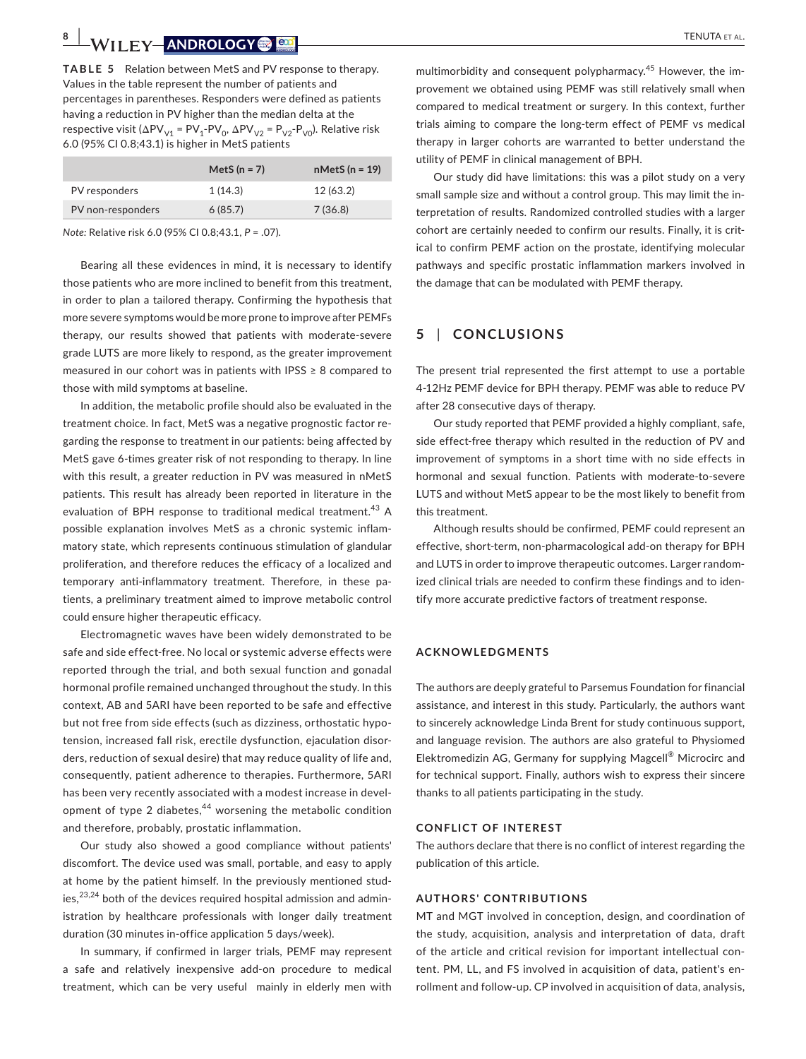**TABLE 5** Relation between MetS and PV response to therapy. Values in the table represent the number of patients and percentages in parentheses. Responders were defined as patients having a reduction in PV higher than the median delta at the respective visit ( $\Delta PV_{V1}$  = PV<sub>1</sub>-PV<sub>0</sub>,  $\Delta PV_{V2}$  = P<sub>V2</sub>-P<sub>V0</sub>). Relative risk 6.0 (95% CI 0.8;43.1) is higher in MetS patients

| $nMets (n = 19)$ |
|------------------|
|                  |
|                  |
|                  |

*Note:* Relative risk 6.0 (95% CI 0.8;43.1, *P* = .07).

Bearing all these evidences in mind, it is necessary to identify those patients who are more inclined to benefit from this treatment, in order to plan a tailored therapy. Confirming the hypothesis that more severe symptoms would be more prone to improve after PEMFs therapy, our results showed that patients with moderate-severe grade LUTS are more likely to respond, as the greater improvement measured in our cohort was in patients with IPSS ≥ 8 compared to those with mild symptoms at baseline.

In addition, the metabolic profile should also be evaluated in the treatment choice. In fact, MetS was a negative prognostic factor regarding the response to treatment in our patients: being affected by MetS gave 6-times greater risk of not responding to therapy. In line with this result, a greater reduction in PV was measured in nMetS patients. This result has already been reported in literature in the evaluation of BPH response to traditional medical treatment.<sup>43</sup> A possible explanation involves MetS as a chronic systemic inflammatory state, which represents continuous stimulation of glandular proliferation, and therefore reduces the efficacy of a localized and temporary anti-inflammatory treatment. Therefore, in these patients, a preliminary treatment aimed to improve metabolic control could ensure higher therapeutic efficacy.

Electromagnetic waves have been widely demonstrated to be safe and side effect-free. No local or systemic adverse effects were reported through the trial, and both sexual function and gonadal hormonal profile remained unchanged throughout the study. In this context, AB and 5ARI have been reported to be safe and effective but not free from side effects (such as dizziness, orthostatic hypotension, increased fall risk, erectile dysfunction, ejaculation disorders, reduction of sexual desire) that may reduce quality of life and, consequently, patient adherence to therapies. Furthermore, 5ARI has been very recently associated with a modest increase in development of type 2 diabetes, $44$  worsening the metabolic condition and therefore, probably, prostatic inflammation.

Our study also showed a good compliance without patients' discomfort. The device used was small, portable, and easy to apply at home by the patient himself. In the previously mentioned studies, $^{23,24}$  both of the devices required hospital admission and administration by healthcare professionals with longer daily treatment duration (30 minutes in-office application 5 days/week).

In summary, if confirmed in larger trials, PEMF may represent a safe and relatively inexpensive add-on procedure to medical treatment, which can be very useful mainly in elderly men with

multimorbidity and consequent polypharmacy.<sup>45</sup> However, the improvement we obtained using PEMF was still relatively small when compared to medical treatment or surgery. In this context, further trials aiming to compare the long-term effect of PEMF vs medical therapy in larger cohorts are warranted to better understand the utility of PEMF in clinical management of BPH.

Our study did have limitations: this was a pilot study on a very small sample size and without a control group. This may limit the interpretation of results. Randomized controlled studies with a larger cohort are certainly needed to confirm our results. Finally, it is critical to confirm PEMF action on the prostate, identifying molecular pathways and specific prostatic inflammation markers involved in the damage that can be modulated with PEMF therapy.

## **5** | **CONCLUSIONS**

The present trial represented the first attempt to use a portable 4-12Hz PEMF device for BPH therapy. PEMF was able to reduce PV after 28 consecutive days of therapy.

Our study reported that PEMF provided a highly compliant, safe, side effect-free therapy which resulted in the reduction of PV and improvement of symptoms in a short time with no side effects in hormonal and sexual function. Patients with moderate-to-severe LUTS and without MetS appear to be the most likely to benefit from this treatment.

Although results should be confirmed, PEMF could represent an effective, short-term, non-pharmacological add-on therapy for BPH and LUTS in order to improve therapeutic outcomes. Larger randomized clinical trials are needed to confirm these findings and to identify more accurate predictive factors of treatment response.

#### **ACKNOWLEDGMENTS**

The authors are deeply grateful to Parsemus Foundation for financial assistance, and interest in this study. Particularly, the authors want to sincerely acknowledge Linda Brent for study continuous support, and language revision. The authors are also grateful to Physiomed Elektromedizin AG, Germany for supplying Magcell® Microcirc and for technical support. Finally, authors wish to express their sincere thanks to all patients participating in the study.

#### **CONFLICT OF INTEREST**

The authors declare that there is no conflict of interest regarding the publication of this article.

#### **AUTHORS' CONTRIBUTIONS**

MT and MGT involved in conception, design, and coordination of the study, acquisition, analysis and interpretation of data, draft of the article and critical revision for important intellectual content. PM, LL, and FS involved in acquisition of data, patient's enrollment and follow-up. CP involved in acquisition of data, analysis,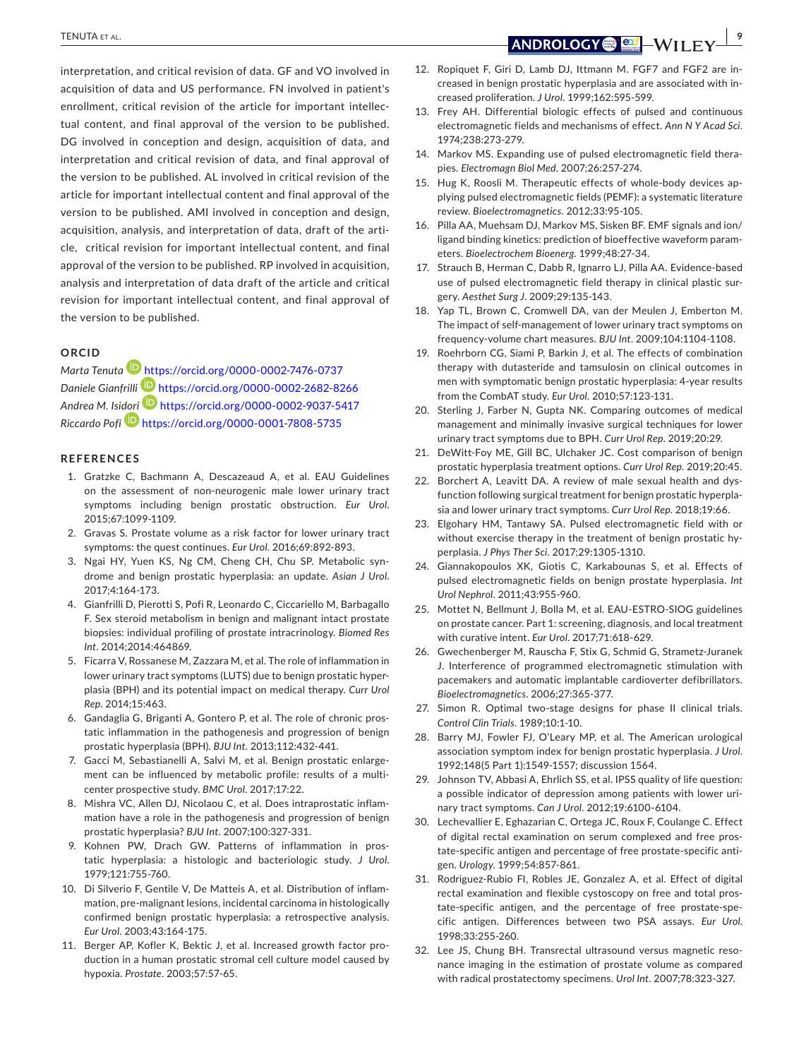interpretation, and critical revision of data. GF and VO involved in acquisition of data and US performance. FN involved in patient's enrollment, critical revision of the article for important intellectual content, and final approval of the version to be published. DG involved in conception and design, acquisition of data, and interpretation and critical revision of data, and final approval of the version to be published. AL involved in critical revision of the article for important intellectual content and final approval of the version to be published. AMI involved in conception and design, acquisition, analysis, and interpretation of data, draft of the article, critical revision for important intellectual content, and final approval of the version to be published. RP involved in acquisition, analysis and interpretation of data draft of the article and critical revision for important intellectual content, and final approval of the version to be published.

### **ORCID**

*Marta Tenuta* <https://orcid.org/0000-0002-7476-0737> *Daniele Gianfrilli* <https://orcid.org/0000-0002-2682-8266> *Andrea M. Isi[dori](https://orcid.org/0000-0001-7808-5735)* <https://orcid.org/0000-0002-9037-5417> *Riccardo Pofi* <https://orcid.org/0000-0001-7808-5735>

#### **REFERENCES**

- 1. Gratzke C, Bachmann A, Descazeaud A, et al. EAU Guidelines on the assessment of non-neurogenic male lower urinary tract symptoms including benign prostatic obstruction. *Eur Urol*. 2015;67:1099-1109.
- 2. Gravas S. Prostate volume as a risk factor for lower urinary tract symptoms: the quest continues. *Eur Urol*. 2016;69:892-893.
- 3. Ngai HY, Yuen KS, Ng CM, Cheng CH, Chu SP. Metabolic syndrome and benign prostatic hyperplasia: an update. *Asian J Urol*. 2017;4:164-173.
- 4. Gianfrilli D, Pierotti S, Pofi R, Leonardo C, Ciccariello M, Barbagallo F. Sex steroid metabolism in benign and malignant intact prostate biopsies: individual profiling of prostate intracrinology. *Biomed Res Int*. 2014;2014:464869.
- 5. Ficarra V, Rossanese M, Zazzara M, et al. The role of inflammation in lower urinary tract symptoms (LUTS) due to benign prostatic hyperplasia (BPH) and its potential impact on medical therapy. *Curr Urol Rep*. 2014;15:463.
- 6. Gandaglia G, Briganti A, Gontero P, et al. The role of chronic prostatic inflammation in the pathogenesis and progression of benign prostatic hyperplasia (BPH). *BJU Int*. 2013;112:432-441.
- 7. Gacci M, Sebastianelli A, Salvi M, et al. Benign prostatic enlargement can be influenced by metabolic profile: results of a multicenter prospective study. *BMC Urol*. 2017;17:22.
- 8. Mishra VC, Allen DJ, Nicolaou C, et al. Does intraprostatic inflammation have a role in the pathogenesis and progression of benign prostatic hyperplasia? *BJU Int*. 2007;100:327-331.
- 9. Kohnen PW, Drach GW. Patterns of inflammation in prostatic hyperplasia: a histologic and bacteriologic study. *J Urol*. 1979;121:755-760.
- 10. Di Silverio F, Gentile V, De Matteis A, et al. Distribution of inflammation, pre-malignant lesions, incidental carcinoma in histologically confirmed benign prostatic hyperplasia: a retrospective analysis. *Eur Urol*. 2003;43:164-175.
- 11. Berger AP, Kofler K, Bektic J, et al. Increased growth factor production in a human prostatic stromal cell culture model caused by hypoxia. *Prostate*. 2003;57:57-65.

 **<u>TENUTA ET AL.</u> <b>1999** - WILLEN CONTROLLER CONTROLLER CONTROLLER CONTROLLER CONTROLLER CONTROLLER CONTROLLER CONTROLLER CONTROLLER CONTROLLER CONTROLLER CONTROLLER CONTROLLER CONTROLLER CONTROLLER CONTROLLER CONTROLLER C

- 12. Ropiquet F, Giri D, Lamb DJ, Ittmann M. FGF7 and FGF2 are increased in benign prostatic hyperplasia and are associated with increased proliferation. *J Urol*. 1999;162:595-599.
- 13. Frey AH. Differential biologic effects of pulsed and continuous electromagnetic fields and mechanisms of effect. *Ann N Y Acad Sci*. 1974;238:273-279.
- 14. Markov MS. Expanding use of pulsed electromagnetic field therapies. *Electromagn Biol Med*. 2007;26:257-274.
- 15. Hug K, Roosli M. Therapeutic effects of whole-body devices applying pulsed electromagnetic fields (PEMF): a systematic literature review. *Bioelectromagnetics*. 2012;33:95-105.
- 16. Pilla AA, Muehsam DJ, Markov MS, Sisken BF. EMF signals and ion/ ligand binding kinetics: prediction of bioeffective waveform parameters. *Bioelectrochem Bioenerg*. 1999;48:27-34.
- 17. Strauch B, Herman C, Dabb R, Ignarro LJ, Pilla AA. Evidence-based use of pulsed electromagnetic field therapy in clinical plastic surgery. *Aesthet Surg J*. 2009;29:135-143.
- 18. Yap TL, Brown C, Cromwell DA, van der Meulen J, Emberton M. The impact of self-management of lower urinary tract symptoms on frequency-volume chart measures. *BJU Int*. 2009;104:1104-1108.
- 19. Roehrborn CG, Siami P, Barkin J, et al. The effects of combination therapy with dutasteride and tamsulosin on clinical outcomes in men with symptomatic benign prostatic hyperplasia: 4-year results from the CombAT study. *Eur Urol*. 2010;57:123-131.
- 20. Sterling J, Farber N, Gupta NK. Comparing outcomes of medical management and minimally invasive surgical techniques for lower urinary tract symptoms due to BPH. *Curr Urol Rep*. 2019;20:29.
- 21. DeWitt-Foy ME, Gill BC, Ulchaker JC. Cost comparison of benign prostatic hyperplasia treatment options. *Curr Urol Rep*. 2019;20:45.
- 22. Borchert A, Leavitt DA. A review of male sexual health and dysfunction following surgical treatment for benign prostatic hyperplasia and lower urinary tract symptoms. *Curr Urol Rep*. 2018;19:66.
- 23. Elgohary HM, Tantawy SA. Pulsed electromagnetic field with or without exercise therapy in the treatment of benign prostatic hyperplasia. *J Phys Ther Sci*. 2017;29:1305-1310.
- 24. Giannakopoulos XK, Giotis C, Karkabounas S, et al. Effects of pulsed electromagnetic fields on benign prostate hyperplasia. *Int Urol Nephrol*. 2011;43:955-960.
- 25. Mottet N, Bellmunt J, Bolla M, et al. EAU-ESTRO-SIOG guidelines on prostate cancer. Part 1: screening, diagnosis, and local treatment with curative intent. *Eur Urol*. 2017;71:618-629.
- 26. Gwechenberger M, Rauscha F, Stix G, Schmid G, Strametz-Juranek J. Interference of programmed electromagnetic stimulation with pacemakers and automatic implantable cardioverter defibrillators. *Bioelectromagnetics*. 2006;27:365-377.
- 27. Simon R. Optimal two-stage designs for phase II clinical trials. *Control Clin Trials*. 1989;10:1-10.
- 28. Barry MJ, Fowler FJ, O'Leary MP, et al. The American urological association symptom index for benign prostatic hyperplasia. *J Urol*. 1992;148(5 Part 1):1549-1557; discussion 1564.
- 29. Johnson TV, Abbasi A, Ehrlich SS, et al. IPSS quality of life question: a possible indicator of depression among patients with lower urinary tract symptoms. *Can J Urol*. 2012;19:6100-6104.
- 30. Lechevallier E, Eghazarian C, Ortega JC, Roux F, Coulange C. Effect of digital rectal examination on serum complexed and free prostate-specific antigen and percentage of free prostate-specific antigen. *Urology*. 1999;54:857-861.
- 31. Rodriguez-Rubio FI, Robles JE, Gonzalez A, et al. Effect of digital rectal examination and flexible cystoscopy on free and total prostate-specific antigen, and the percentage of free prostate-specific antigen. Differences between two PSA assays. *Eur Urol*. 1998;33:255-260.
- 32. Lee JS, Chung BH. Transrectal ultrasound versus magnetic resonance imaging in the estimation of prostate volume as compared with radical prostatectomy specimens. *Urol Int*. 2007;78:323-327.